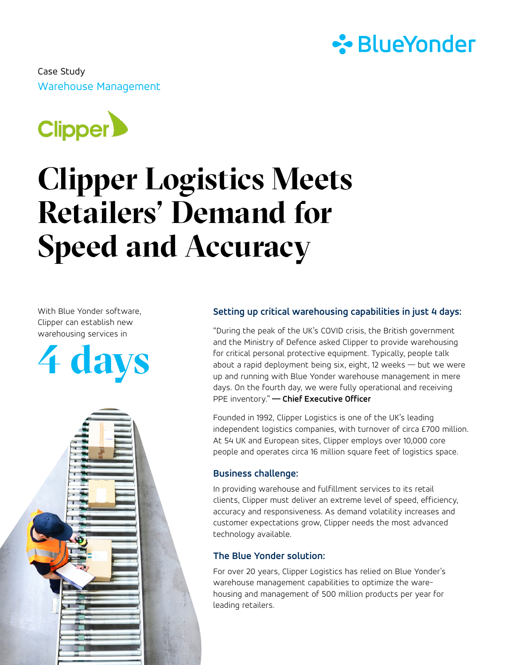

Warehouse Management Case Study



# **Clipper Logistics Meets Retailers' Demand for Speed and Accuracy**

With Blue Yonder software, Clipper can establish new warehousing services in





# **Setting up critical warehousing capabilities in just 4 days:**

"During the peak of the UK's COVID crisis, the British government and the Ministry of Defence asked Clipper to provide warehousing for critical personal protective equipment. Typically, people talk about a rapid deployment being six, eight, 12 weeks — but we were up and running with Blue Yonder warehouse management in mere days. On the fourth day, we were fully operational and receiving PPE inventory." **— Chief Executive Officer**

Founded in 1992, Clipper Logistics is one of the UK's leading independent logistics companies, with turnover of circa £700 million. At 54 UK and European sites, Clipper employs over 10,000 core people and operates circa 16 million square feet of logistics space.

### **Business challenge:**

In providing warehouse and fulfillment services to its retail clients, Clipper must deliver an extreme level of speed, efficiency, accuracy and responsiveness. As demand volatility increases and customer expectations grow, Clipper needs the most advanced technology available.

#### **The Blue Yonder solution:**

For over 20 years, Clipper Logistics has relied on Blue Yonder's warehouse management capabilities to optimize the warehousing and management of 500 million products per year for leading retailers.